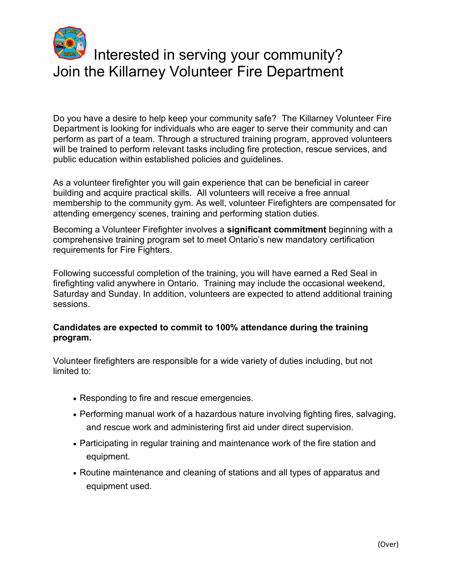

## Interested in serving your community? Join the Killarney Volunteer Fire Department

 Do you have a desire to help keep your community safe? The Killarney Volunteer Fire Department is looking for individuals who are eager to serve their community and can perform as part of a team. Through a structured training program, approved volunteers will be trained to perform relevant tasks including fire protection, rescue services, and public education within established policies and guidelines.

 building and acquire practical skills. All volunteers will receive a free annual As a volunteer firefighter you will gain experience that can be beneficial in career membership to the community gym. As well, volunteer Firefighters are compensated for attending emergency scenes, training and performing station duties.

Becoming a Volunteer Firefighter involves a **significant commitment** beginning with a comprehensive training program set to meet Ontario's new mandatory certification requirements for Fire Fighters.

 firefighting valid anywhere in Ontario. Training may include the occasional weekend, Saturday and Sunday. In addition, volunteers are expected to attend additional training Following successful completion of the training, you will have earned a Red Seal in sessions.

## **Candidates are expected to commit to 100% attendance during the training program.**

Volunteer firefighters are responsible for a wide variety of duties including, but not limited to:

- Responding to fire and rescue emergencies.
- Performing manual work of a hazardous nature involving fighting fires, salvaging, and rescue work and administering first aid under direct supervision.
- Participating in regular training and maintenance work of the fire station and equipment.
- Routine maintenance and cleaning of stations and all types of apparatus and equipment used.